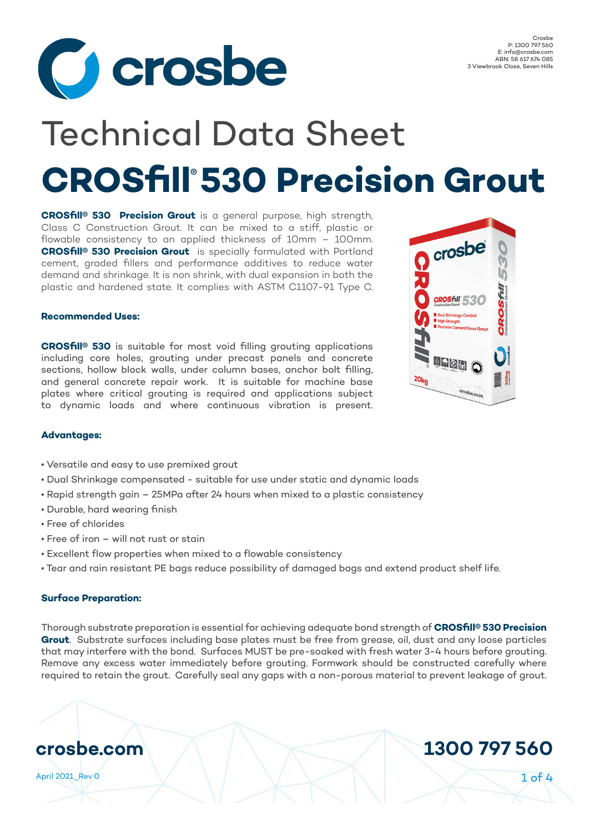

# **CROSfill 530 Precision Grout ®** Technical Data Sheet

**CROSfill® 530 Precision Grout** is a general purpose, high strength, Class C Construction Grout. It can be mixed to a stiff, plastic or flowable consistency to an applied thickness of 10mm – 100mm. **CROSfill® 530 Precision Grout** is specially formulated with Portland cement, graded fillers and performance additives to reduce water demand and shrinkage. It is non shrink, with dual expansion in both the plastic and hardened state. It complies with ASTM C1107-91 Type C.

## O crosbe lj. **CROSHII 530**  $\blacksquare$ 20<sub>kg</sub>

#### **Recommended Uses:**

**CROSfill® 530** is suitable for most void filling grouting applications including core holes, grouting under precast panels and concrete sections, hollow block walls, under column bases, anchor bolt filling, and general concrete repair work. It is suitable for machine base plates where critical grouting is required and applications subject to dynamic loads and where continuous vibration is present.

#### **Advantages:**

- Versatile and easy to use premixed grout
- Dual Shrinkage compensated suitable for use under static and dynamic loads
- Rapid strength gain 25MPa after 24 hours when mixed to a plastic consistency
- Durable, hard wearing finish
- Free of chlorides
- Free of iron will not rust or stain
- Excellent flow properties when mixed to a flowable consistency
- Tear and rain resistant PE bags reduce possibility of damaged bags and extend product shelf life.

#### **Surface Preparation:**

Thorough substrate preparation is essential for achieving adequate bond strength of **CROSfill® 530 Precision Grout**. Substrate surfaces including base plates must be free from grease, oil, dust and any loose particles that may interfere with the bond. Surfaces MUST be pre-soaked with fresh water 3-4 hours before grouting. Remove any excess water immediately before grouting. Formwork should be constructed carefully where required to retain the grout. Carefully seal any gaps with a non-porous material to prevent leakage of grout.

## **crosbe.com 1300 797 560**

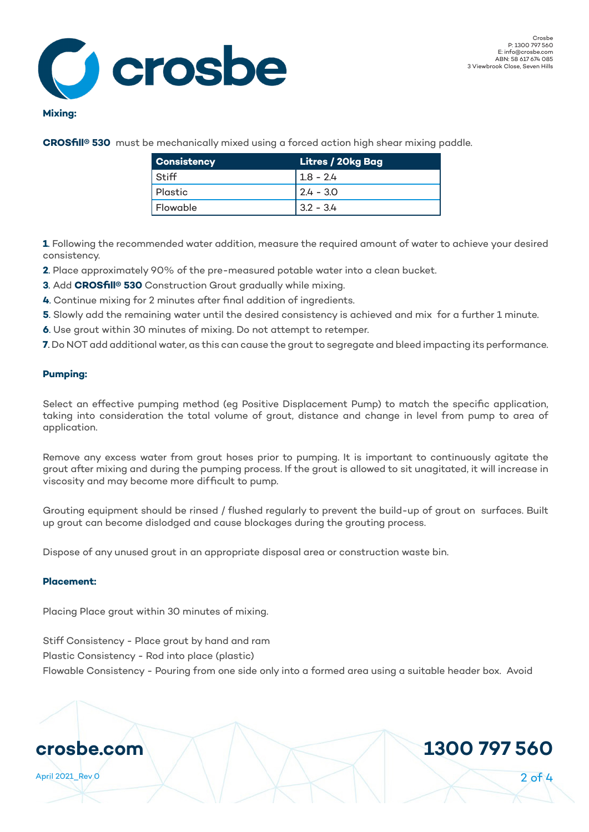

#### **Mixing:**

**CROSfill® 530** must be mechanically mixed using a forced action high shear mixing paddle.

| Consistency | Litres / 20kg Bag |  |  |
|-------------|-------------------|--|--|
| Stiff       | $1.8 - 2.4$       |  |  |
| Plastic     | $12.4 - 3.0$      |  |  |
| Flowable    | $13.2 - 3.4$      |  |  |

**1**. Following the recommended water addition, measure the required amount of water to achieve your desired consistency.

- **2**. Place approximately 90% of the pre-measured potable water into a clean bucket.
- **3**. Add **CROSfill® 530** Construction Grout gradually while mixing.
- **4**. Continue mixing for 2 minutes after final addition of ingredients.
- **5**. Slowly add the remaining water until the desired consistency is achieved and mix for a further 1 minute.
- **6**. Use grout within 30 minutes of mixing. Do not attempt to retemper.
- **7**. Do NOT add additional water, as this can cause the grout to segregate and bleed impacting its performance.

#### **Pumping:**

Select an effective pumping method (eg Positive Displacement Pump) to match the specific application, taking into consideration the total volume of grout, distance and change in level from pump to area of application.

Remove any excess water from grout hoses prior to pumping. It is important to continuously agitate the grout after mixing and during the pumping process. If the grout is allowed to sit unagitated, it will increase in viscosity and may become more difficult to pump.

Grouting equipment should be rinsed / flushed regularly to prevent the build-up of grout on surfaces. Built up grout can become dislodged and cause blockages during the grouting process.

Dispose of any unused grout in an appropriate disposal area or construction waste bin.

#### **Placement:**

Placing Place grout within 30 minutes of mixing.

Stiff Consistency - Place grout by hand and ram

Plastic Consistency - Rod into place (plastic)

Flowable Consistency - Pouring from one side only into a formed area using a suitable header box. Avoid

### **crosbe.com 1300 797 560**

April 2021\_Rev 0 2 of 4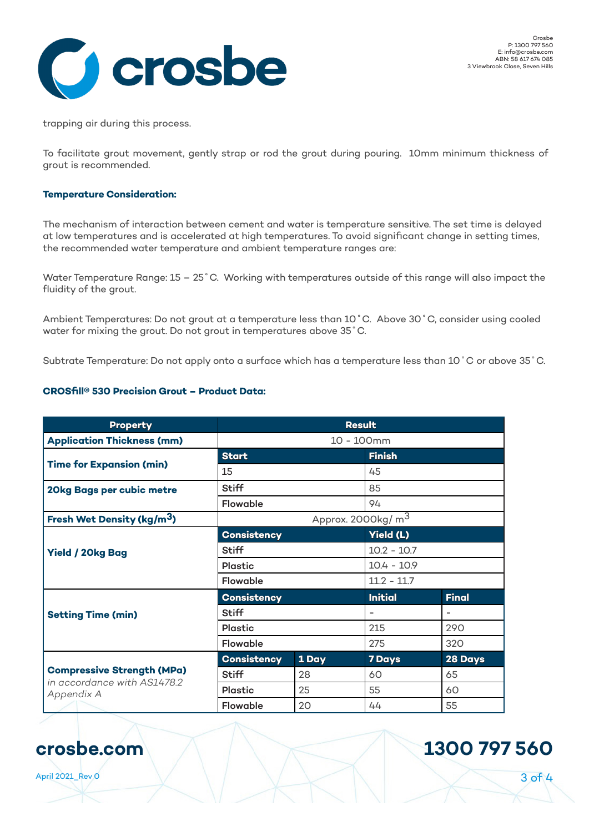

trapping air during this process.

To facilitate grout movement, gently strap or rod the grout during pouring. 10mm minimum thickness of grout is recommended.

#### **Temperature Consideration:**

The mechanism of interaction between cement and water is temperature sensitive. The set time is delayed at low temperatures and is accelerated at high temperatures. To avoid significant change in setting times, the recommended water temperature and ambient temperature ranges are:

Water Temperature Range: 15 – 25˚C. Working with temperatures outside of this range will also impact the fluidity of the grout.

Ambient Temperatures: Do not grout at a temperature less than 10˚C. Above 30˚C, consider using cooled water for mixing the grout. Do not grout in temperatures above 35˚C.

Subtrate Temperature: Do not apply onto a surface which has a temperature less than 10˚C or above 35˚C.

#### **CROSfill® 530 Precision Grout – Product Data:**

| <b>Property</b>                                                                | <b>Result</b>                  |       |                |              |  |
|--------------------------------------------------------------------------------|--------------------------------|-------|----------------|--------------|--|
| <b>Application Thickness (mm)</b>                                              | 10 - 100mm                     |       |                |              |  |
| <b>Time for Expansion (min)</b>                                                | <b>Start</b>                   |       | <b>Finish</b>  |              |  |
|                                                                                | 15                             |       | 45             |              |  |
| 20kg Bags per cubic metre                                                      | <b>Stiff</b>                   |       | 85             |              |  |
|                                                                                | Flowable                       |       | 94             |              |  |
| Fresh Wet Density (kg/m <sup>3</sup> )                                         | Approx. 2000kg/ m <sup>3</sup> |       |                |              |  |
| <b>Yield / 20kg Bag</b>                                                        | <b>Consistency</b>             |       | Yield (L)      |              |  |
|                                                                                | <b>Stiff</b>                   |       | $10.2 - 10.7$  |              |  |
|                                                                                | <b>Plastic</b>                 |       | $10.4 - 10.9$  |              |  |
|                                                                                | Flowable                       |       | $11.2 - 11.7$  |              |  |
| <b>Setting Time (min)</b>                                                      | <b>Consistency</b>             |       | <b>Initial</b> | <b>Final</b> |  |
|                                                                                | <b>Stiff</b>                   |       |                |              |  |
|                                                                                | <b>Plastic</b>                 |       | 215            | 290          |  |
|                                                                                | <b>Flowable</b>                |       | 275            | 320          |  |
| <b>Compressive Strength (MPa)</b><br>in accordance with AS1478.2<br>Appendix A | <b>Consistency</b>             | 1 Day | <b>7 Days</b>  | 28 Days      |  |
|                                                                                | <b>Stiff</b>                   | 28    | 60             | 65           |  |
|                                                                                | <b>Plastic</b>                 | 25    | 55             | 60           |  |
|                                                                                | Flowable                       | 20    | 44             | 55           |  |